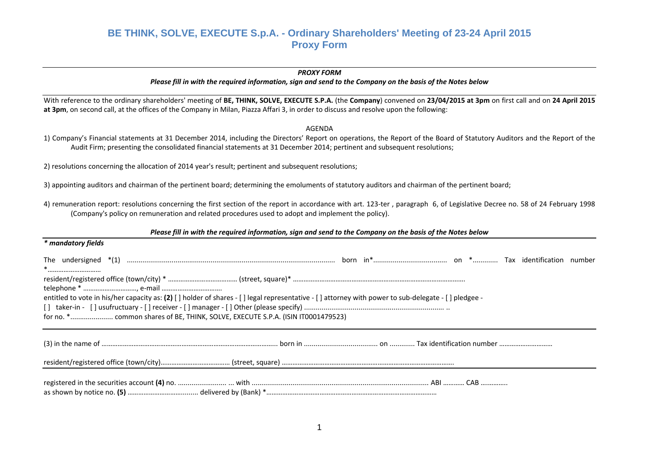#### *PROXY FORM*

Please fill in with the required information, sign and send to the Company on the basis of the Notes below

With reference to the ordinary shareholders' meeting of BE, THINK, SOLVE, EXECUTE S.P.A. (the Company) convened on 23/04/2015 at 3pm on first call and on 24 April 2015 **at 3pm**, on second call, at the offices of the Company in Milan, Piazza Affari 3, in order to discuss and resolve upon the following:

### AGENDA

1) Company's Financial statements at 31 December 2014, including the Directors' Report on operations, the Report of the Board of Statutory Auditors and the Report of the Audit Firm; presenting the consolidated financial statements at 31 December 2014; pertinent and subsequent resolutions;

2) resolutions concerning the allocation of 2014 year's result; pertinent and subsequent resolutions;

3) appointing auditors and chairman of the pertinent board; determining the emoluments of statutory auditors and chairman of the pertinent board;

4) remuneration report: resolutions concerning the first section of the report in accordance with art. 123‐ter , paragraph 6, of Legislative Decree no. 58 of 24 February 1998 (Company's policy on remuneration and related procedures used to adopt and implement the policy).

### Please fill in with the required information, sign and send to the Company on the basis of the Notes below

| * mandatory fields                                                                                                                                 |  |
|----------------------------------------------------------------------------------------------------------------------------------------------------|--|
| *                                                                                                                                                  |  |
|                                                                                                                                                    |  |
|                                                                                                                                                    |  |
| entitled to vote in his/her capacity as: (2) [] holder of shares - [] legal representative - [] attorney with power to sub-delegate - [] pledgee - |  |
|                                                                                                                                                    |  |
|                                                                                                                                                    |  |
|                                                                                                                                                    |  |
|                                                                                                                                                    |  |
|                                                                                                                                                    |  |
|                                                                                                                                                    |  |
|                                                                                                                                                    |  |
|                                                                                                                                                    |  |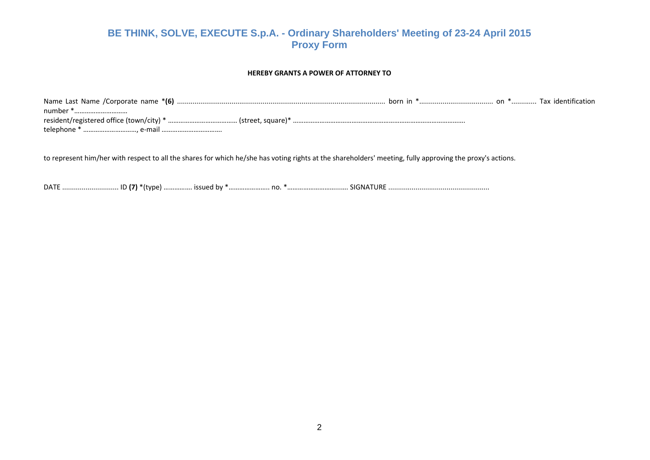#### **HEREBY GRANTS A POWER OF ATTORNEY TO**

to represent him/her with respect to all the shares for which he/she has voting rights at the shareholders' meeting, fully approving the proxy's actions.

DATE ………………………… ID **(7)** \*(type) ……………. issued by \*…………………… no. \*………………………………………… SIGNATURE ………………………………………………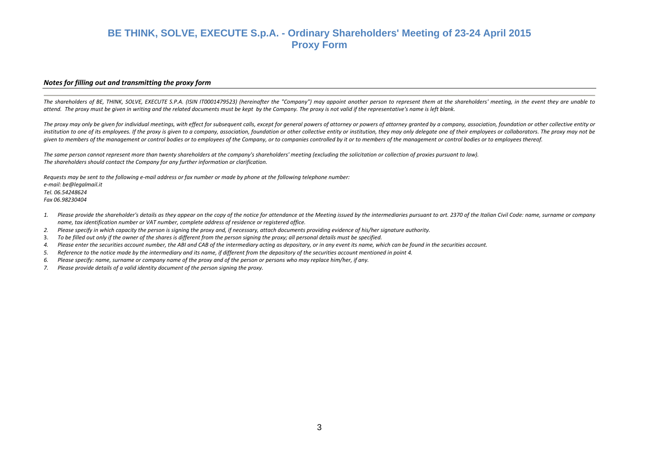#### *Notes for filling out and transmitting the proxy form*

The shareholders of BE, THINK, SOLVE, EXECUTE S.P.A. (ISIN IT0001479523) (hereinafter the "Company") may appoint another person to represent them at the shareholders' meeting, in the event they are unable to attend. The proxy must be given in writing and the related documents must be kept by the Company. The proxy is not valid if the representative's name is left blank.

The proxy may only be given for individual meetings, with effect for subsequent calls, except for general powers of attorney or powers of attorney granted by a company, association, foundation or other collective entity or institution to one of its employees. If the proxy is given to a company, association, foundation or other collective entity or institution, they may only delegate one of their employees or collaborators. The proxy may not given to members of the management or control bodies or to employees of the Company, or to companies controlled by it or to members of the management or control bodies or to employees thereof.

The same person cannot represent more than twenty shareholders at the company's shareholders' meeting (excluding the solicitation or collection of proxies pursuant to law). *The shareholders should contact the Company for any further information or clarification.*

Requests may be sent to the following e-mail address or fax number or made by phone at the following telephone number: *e‐mail: be@legalmail.it Tel. 06.54248624 Fax 06.98230404*

- *1.*. Please provide the shareholder's details as they appear on the copy of the notice for attendance at the Meeting issued by the intermediaries pursuant to art. 2370 of the Italian Civil Code: name, surname or company *name, tax identification number or VAT number, complete address of residence or registered office.*
- *2.*. Please specify in which capacity the person is signing the proxy and, if necessary, attach documents providing evidence of his/her signature authority.
- 3. To be filled out only if the owner of the shares is different from the person signing the proxy; all personal details must be specified.
- *4.*. Please enter the securities account number, the ABI and CAB of the intermediary acting as depositary, or in any event its name, which can be found in the securities account.
- *5.*Reference to the notice made by the intermediary and its name, if different from the depository of the securities account mentioned in point 4.
- *6.*. Please specify: name, surname or company name of the proxy and of the person or persons who may replace him/her, if any.
- *7.Please provide details of <sup>a</sup> valid identity document of the person signing the proxy.*